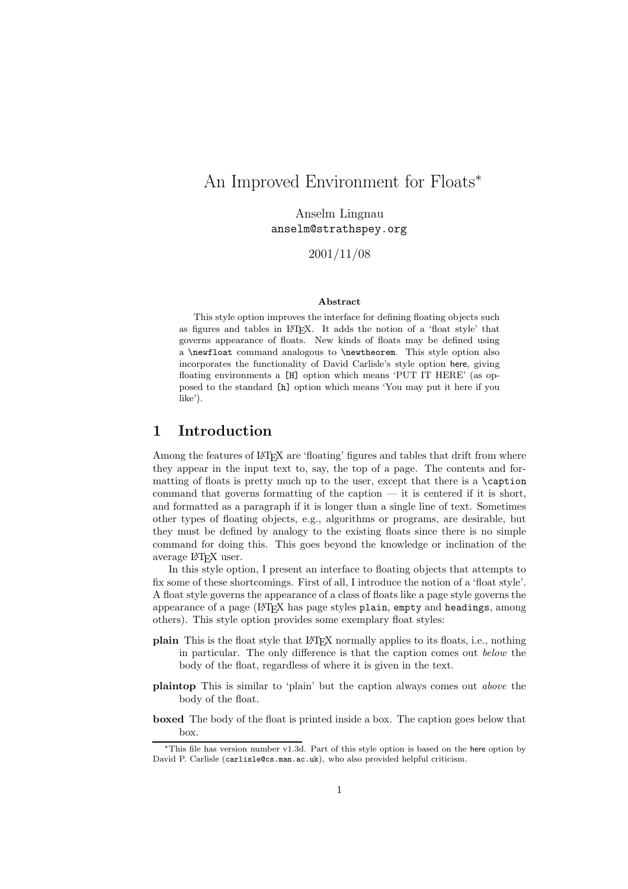# An Improved Environment for Floats<sup>∗</sup>

Anselm Lingnau anselment to a strate  $_{1}$  sympaths

2001/11/08

#### **Abstract**

This style option improves the interface for defining floating objects such as figures and tables in LATEX. It adds the notion of a 'float style' that governs appearance of floats. New kinds of floats may be defined using a \newfloat command analogous to \newtheorem. This style option also incorporates the functionality of David Carlisle's style option here, giving floating environments a [H] option which means 'PUT IT HERE' (as opposed to the standard [h] option which means 'You may put it here if you like').

### **1 Introduction**

Among the features of LAT<sub>EX</sub> are 'floating' figures and tables that drift from where they appear in the input text to, say, the top of a page. The contents and formatting of floats is pretty much up to the user, except that there is a  $\epsilon$ command that governs formatting of the caption  $-$  it is centered if it is short, and formatted as a paragraph if it is longer than a single line of text. Sometimes other types of floating objects, e.g., algorithms or programs, are desirable, but they must be defined by analogy to the existing floats since there is no simple command for doing this. This goes beyond the knowledge or inclination of the average LATEX user.

In this style option, I present an interface to floating objects that attempts to fix some of these shortcomings. First of all, I introduce the notion of a 'float style'. A float style governs the appearance of a class of floats like a page style governs the appearance of a page  $(HTr K)$  has page styles plain, empty and headings, among others). This style option provides some exemplary float styles:

- **plain** This is the float style that LATEX normally applies to its floats, i.e., nothing in particular. The only difference is that the caption comes out *below* the body of the float, regardless of where it is given in the text.
- **plaintop** This is similar to 'plain' but the caption always comes out *above* the body of the float.
- **boxed** The body of the float is printed inside a box. The caption goes below that box.

<sup>∗</sup>This file has version number v1.3d. Part of this style option is based on the here option by David P. Carlisle (carlisle@cs.man.ac.uk), who also provided helpful criticism.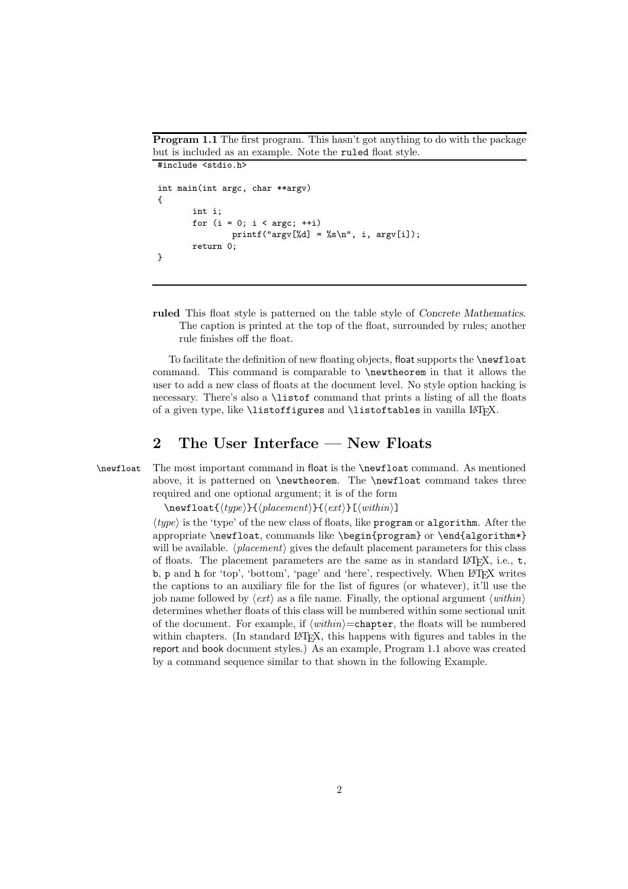**Program 1.1** The first program. This hasn't got anything to do with the package but is included as an example. Note the ruled float style. #include <stdio.h>

```
int main(int argc, char **argv)
{
       int i;
       for (i = 0; i < argc; ++i)printf("argv[%d] = %s\n", i, argv[i]);
       return 0;
}
```
**ruled** This float style is patterned on the table style of *Concrete Mathematics*. The caption is printed at the top of the float, surrounded by rules; another rule finishes off the float.

To facilitate the definition of new floating objects, float supports the **\newfloat** command. This command is comparable to \newtheorem in that it allows the user to add a new class of floats at the document level. No style option hacking is necessary. There's also a \listof command that prints a listing of all the floats of a given type, like \listoffigures and \listoftables in vanilla LATEX.

### **2 The User Interface — New Floats**

\newfloat The most important command in float is the \newfloat command. As mentioned above, it is patterned on \newtheorem. The \newfloat command takes three required and one optional argument; it is of the form

 $\text{load}\{\langle type \rangle\}\{\langle placement \rangle\}\{\langle ext \rangle\}$ 

*type* is the 'type' of the new class of floats, like program or algorithm. After the appropriate \newfloat, commands like \begin{program} or \end{algorithm\*} will be available.  $\langle placement \rangle$  gives the default placement parameters for this class of floats. The placement parameters are the same as in standard  $\mathbb{F}(\mathbb{F}X, i.e., t,$ b, p and h for 'top', 'bottom', 'page' and 'here', respectively. When LAT<sub>EX</sub> writes the captions to an auxiliary file for the list of figures (or whatever), it'll use the job name followed by  $\langle ext \rangle$  as a file name. Finally, the optional argument  $\langle within \rangle$ determines whether floats of this class will be numbered within some sectional unit of the document. For example, if  $\langle within \rangle =$ chapter, the floats will be numbered within chapters. (In standard  $\Delta E$ <sub>F</sub>X, this happens with figures and tables in the report and book document styles.) As an example, Program 1.1 above was created by a command sequence similar to that shown in the following Example.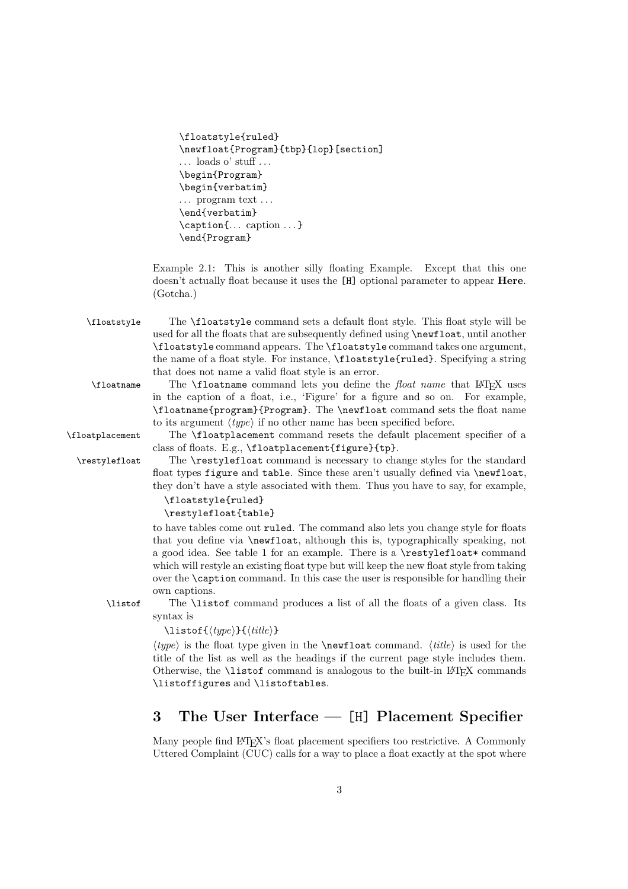| \floatstyle{ruled}                                    |
|-------------------------------------------------------|
| \newfloat{Program}{tbp}{lop}[section]                 |
| $\ldots$ loads o' stuff                               |
| \begin{Program}                                       |
| \begin{verbatim}                                      |
| $\ldots$ program text $\ldots$                        |
| \end{verbatim}                                        |
| $\operatorname{cap} \{ \dots \text{caption} \dots \}$ |
| \end{Program}                                         |
|                                                       |

Example 2.1: This is another silly floating Example. Except that this one doesn't actually float because it uses the [H] optional parameter to appear **Here**. (Gotcha.)

\floatstyle The \floatstyle command sets a default float style. This float style will be used for all the floats that are subsequently defined using \newfloat, until another \floatstyle command appears. The \floatstyle command takes one argument, the name of a float style. For instance, \floatstyle{ruled}. Specifying a string that does not name a valid float style is an error.

```
\floatname The \floatname command lets you define the float name that LATEX uses
            in the caption of a float, i.e., 'Figure' for a figure and so on. For example,
            \floatname{program}{Program}. The \newfloat command sets the float name
            to its argument \langle type \rangle if no other name has been specified before.
```
\floatplacement The \floatplacement command resets the default placement specifier of a class of floats. E.g., \floatplacement{figure}{tp}.

\restylefloat The \restylefloat command is necessary to change styles for the standard float types figure and table. Since these aren't usually defined via \newfloat, they don't have a style associated with them. Thus you have to say, for example,

```
\floatstyle{ruled}
\restylefloat{table}
```
to have tables come out ruled. The command also lets you change style for floats that you define via \newfloat, although this is, typographically speaking, not a good idea. See table 1 for an example. There is a  $\text{testyleft}$  command which will restyle an existing float type but will keep the new float style from taking over the \caption command. In this case the user is responsible for handling their own captions.

\listof The \listof command produces a list of all the floats of a given class. Its syntax is

\listof{*type*}{*title*}

 $\langle type \rangle$  is the float type given in the **\newfloat** command.  $\langle title \rangle$  is used for the title of the list as well as the headings if the current page style includes them. Otherwise, the \listof command is analogous to the built-in LATEX commands \listoffigures and \listoftables.

## **3 The User Interface —** [H] **Placement Specifier**

Many people find L<sup>AT</sup>EX's float placement specifiers too restrictive. A Commonly Uttered Complaint (CUC) calls for a way to place a float exactly at the spot where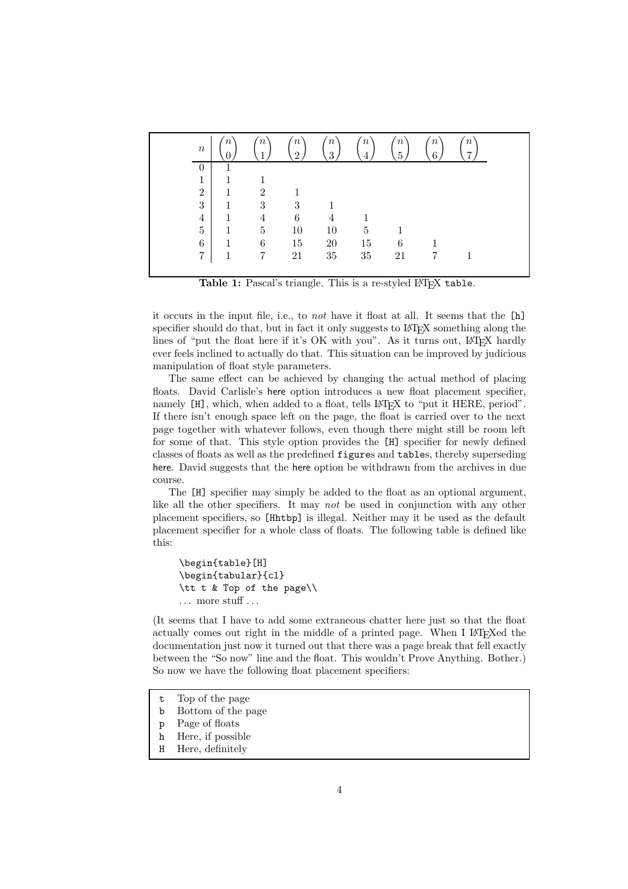| $\boldsymbol{n}$ | $\boldsymbol{n}$ | $\boldsymbol{n}$<br>1 | $\boldsymbol{n}$<br>$\mathcal{D}$ | $n^{\prime}$<br>3 | $\overline{n}$ | $\boldsymbol{n}$<br>$\overline{5}$ | $\boldsymbol{n}$<br>6 | $\boldsymbol{n}$<br>$\overline{7}$ |
|------------------|------------------|-----------------------|-----------------------------------|-------------------|----------------|------------------------------------|-----------------------|------------------------------------|
| $\theta$         |                  |                       |                                   |                   |                |                                    |                       |                                    |
| $\mathbf{1}$     |                  |                       |                                   |                   |                |                                    |                       |                                    |
| $\overline{2}$   | 1                | $\overline{2}$        |                                   |                   |                |                                    |                       |                                    |
| 3                | 1                | 3                     | 3                                 |                   |                |                                    |                       |                                    |
| $\overline{4}$   | 1                | 4                     | 6                                 | 4                 |                |                                    |                       |                                    |
| $\overline{5}$   | 1                | 5                     | 10                                | 10                | 5              |                                    |                       |                                    |
| $\,6$            | 1                | 6                     | 15                                | $20\,$            | 15             | 6                                  |                       |                                    |
| $\overline{7}$   | 1                | 7                     | 21                                | 35                | 35             | 21                                 |                       |                                    |

Table 1: Pascal's triangle. This is a re-styled LAT<sub>EX</sub> table.

it occurs in the input file, i.e., to *not* have it float at all. It seems that the [h] specifier should do that, but in fact it only suggests to LAT<sub>EX</sub> something along the lines of "put the float here if it's OK with you". As it turns out, LATEX hardly ever feels inclined to actually do that. This situation can be improved by judicious manipulation of float style parameters.

The same effect can be achieved by changing the actual method of placing floats. David Carlisle's here option introduces a new float placement specifier, namely [H], which, when added to a float, tells L<sup>AT</sup>EX to "put it HERE, period". If there isn't enough space left on the page, the float is carried over to the next page together with whatever follows, even though there might still be room left for some of that. This style option provides the [H] specifier for newly defined classes of floats as well as the predefined figures and tables, thereby superseding here. David suggests that the here option be withdrawn from the archives in due course.

The [H] specifier may simply be added to the float as an optional argument, like all the other specifiers. It may *not* be used in conjunction with any other placement specifiers, so [Hhtbp] is illegal. Neither may it be used as the default placement specifier for a whole class of floats. The following table is defined like this:

```
\begin{table}[H]
\begin{tabular}{cl}
\tt t & Top of the page\\
. . . more stuff . . .
```
(It seems that I have to add some extraneous chatter here just so that the float actually comes out right in the middle of a printed page. When I LAT<sub>EX</sub>ed the documentation just now it turned out that there was a page break that fell exactly between the "So now" line and the float. This wouldn't Prove Anything. Bother.) So now we have the following float placement specifiers:

- t Top of the page
- b Bottom of the page
- p Page of floats
- h Here, if possible
- H Here, definitely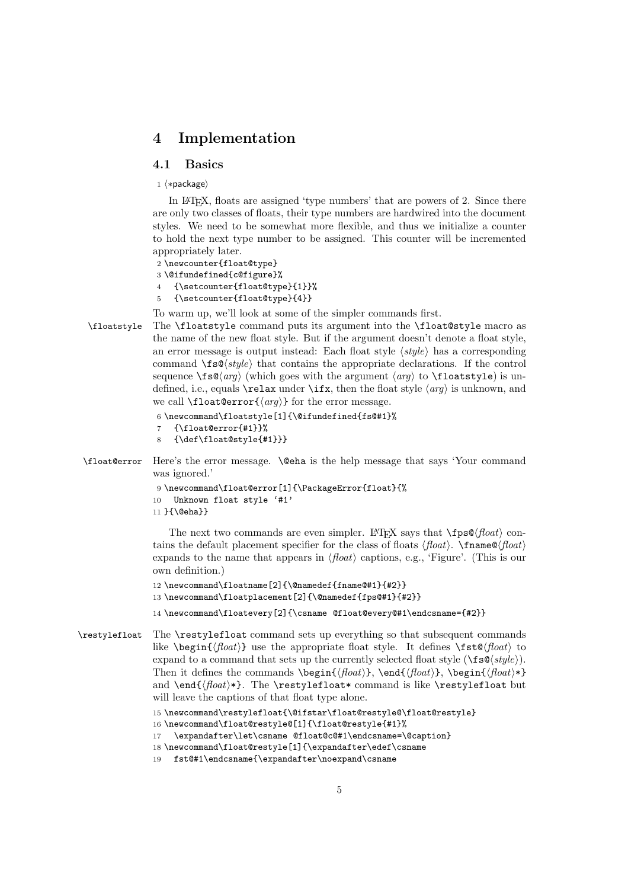### **4 Implementation**

#### **4.1 Basics**

 $1 \langle * \text{package} \rangle$ 

In LATEX, floats are assigned 'type numbers' that are powers of 2. Since there are only two classes of floats, their type numbers are hardwired into the document styles. We need to be somewhat more flexible, and thus we initialize a counter to hold the next type number to be assigned. This counter will be incremented appropriately later.

```
2 \newcounter{float@type}
3 \@ifundefined{c@figure}%
4 {\setcounter{float@type}{1}}%
5 {\setcounter{float@type}{4}}
```
To warm up, we'll look at some of the simpler commands first.

\floatstyle The \floatstyle command puts its argument into the \float@style macro as the name of the new float style. But if the argument doesn't denote a float style, an error message is output instead: Each float style  $\langle style\rangle$  has a corresponding command  $\frac{s\cdot s}{s\cdot s}$  that contains the appropriate declarations. If the control sequence  $\frac{\sigma}{s}(arg)$  (which goes with the argument  $\langle arg \rangle$  to  $\theta$  to  $\sigma$ ) is undefined, i.e., equals **\relax** under **\ifx**, then the float style  $\langle arg \rangle$  is unknown, and we call **\float@error{** $\langle arg \rangle$ } for the error message.

```
6 \newcommand\floatstyle[1]{\@ifundefined{fs@#1}%
   7 {\float@error{#1}}%
8 {\def\float@style{#1}}}
```
\float@error Here's the error message. \@eha is the help message that says 'Your command was ignored.'

```
9 \newcommand\float@error[1]{\PackageError{float}{%
10 Unknown float style '#1'
11 }{\@eha}}
```
The next two commands are even simpler. LAT<sub>EX</sub> says that  $\Theta$ *float* $\rangle$  contains the default placement specifier for the class of floats  $\langle$  float $\rangle$ . \finame@ $\langle$  float $\rangle$ expands to the name that appears in  $\langle$  float  $\rangle$  captions, e.g., 'Figure'. (This is our own definition.)

```
12 \newcommand\floatname[2]{\@namedef{fname@#1}{#2}}
13 \newcommand\floatplacement[2]{\@namedef{fps@#1}{#2}}
```
14 \newcommand\floatevery[2]{\csname @float@every@#1\endcsname={#2}}

\restylefloat The \restylefloat command sets up everything so that subsequent commands like  $\begin{array}{c} \text{the appropriate float style.} \text{defines } \text{fbot} \text{.} \end{array}$ expand to a command that sets up the currently selected float style  $(\frac{sys}{\epsilon})$ . Then it defines the commands  $\begin{{array}{c} \end{array}$ ,  $\end{array}$ ,  $\begin{array}{c} \begin{array}{c} \end{array}$ and  $\end{{$ *float*<sup>\*</sup>}. The \restylefloat\* command is like \restylefloat but will leave the captions of that float type alone.

```
15 \newcommand\restylefloat{\@ifstar\float@restyle@\float@restyle}
16 \newcommand\float@restyle@[1]{\float@restyle{#1}%
17 \expandafter\let\csname @float@c@#1\endcsname=\@caption}
18 \newcommand\float@restyle[1]{\expandafter\edef\csname
19 fst@#1\endcsname{\expandafter\noexpand\csname
```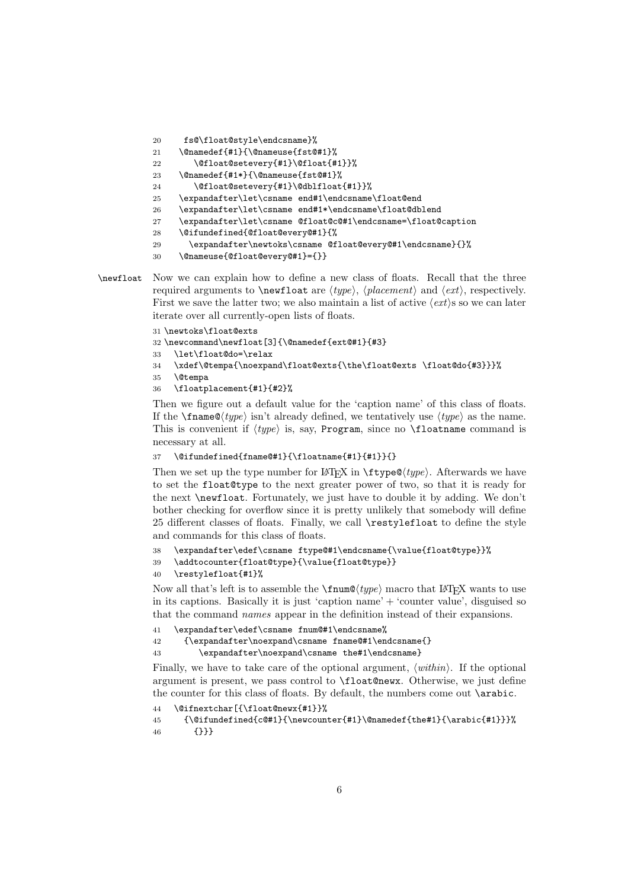```
20 fs@\float@style\endcsname}%
21 \@namedef{#1}{\@nameuse{fst@#1}%
22 \@float@setevery{#1}\@float{#1}}%
23 \@namedef{#1*}{\@nameuse{fst@#1}%
24 \@float@setevery{#1}\@dblfloat{#1}}%
25 \expandafter\let\csname end#1\endcsname\float@end
26 \expandafter\let\csname end#1*\endcsname\float@dblend
27 \expandafter\let\csname @float@c@#1\endcsname=\float@caption
28 \@ifundefined{@float@every@#1}{%
29 \expandafter\newtoks\csname @float@every@#1\endcsname}{}%
30 \@nameuse{@float@every@#1}={}}
```

```
\newfloat Now we can explain how to define a new class of floats. Recall that the three
            required arguments to \neq kewfloat are (type), (placement) and (ext), respectively.
            First we save the latter two; we also maintain a list of active \langle ext \rangles so we can later
            iterate over all currently-open lists of floats.
```

```
31 \newtoks\float@exts
```

```
32 \newcommand\newfloat[3]{\@namedef{ext@#1}{#3}
```
33 \let\float@do=\relax

```
34 \xdef\@tempa{\noexpand\float@exts{\the\float@exts \float@do{#3}}}%
```
35 \@tempa

```
36 \floatplacement{#1}{#2}%
```
Then we figure out a default value for the 'caption name' of this class of floats. If the  $\{\text{trunc}(type) \text{ isn't already defined, we tentatively use } \langle type \rangle \text{ as the name.}$ This is convenient if  $\langle type \rangle$  is, say, Program, since no \floatname command is necessary at all.

```
37 \@ifundefined{fname@#1}{\floatname{#1}{#1}}{}
```
Then we set up the type number for LATEX in \ftype@*type*. Afterwards we have to set the float@type to the next greater power of two, so that it is ready for the next \newfloat. Fortunately, we just have to double it by adding. We don't bother checking for overflow since it is pretty unlikely that somebody will define 25 different classes of floats. Finally, we call \restylefloat to define the style and commands for this class of floats.

```
38 \expandafter\edef\csname ftype@#1\endcsname{\value{float@type}}%
```

```
39 \addtocounter{float@type}{\value{float@type}}
```

```
40 \restylefloat{#1}%
```
Now all that's left is to assemble the  $\frac{\text{trunc}(type)}{\text{macro that }E\$ x wants to use in its captions. Basically it is just 'caption name' + 'counter value', disguised so that the command *names* appear in the definition instead of their expansions.<br>41 \expandatter\edef\csname fnum@#1\endcsname%

```
41 \expandafter\edef\csname fnum@#1\endcsname%<br>42 {\expandafter\noexpand\csname fname@#1\en
```

```
42 {\expandafter\noexpand\csname fname@#1\endcsname{}
```

```
43 \expandafter\noexpand\csname the#1\endcsname}
```
Finally, we have to take care of the optional argument,  $\langle \text{within} \rangle$ . If the optional argument is present, we pass control to \float@newx. Otherwise, we just define the counter for this class of floats. By default, the numbers come out **\arabic.** 

```
44 \@ifnextchar[{\float@newx{#1}}%
```

```
45 {\@ifundefined{c@#1}{\newcounter{#1}\@namedef{the#1}{\arabic{#1}}}%
46 {}}}
```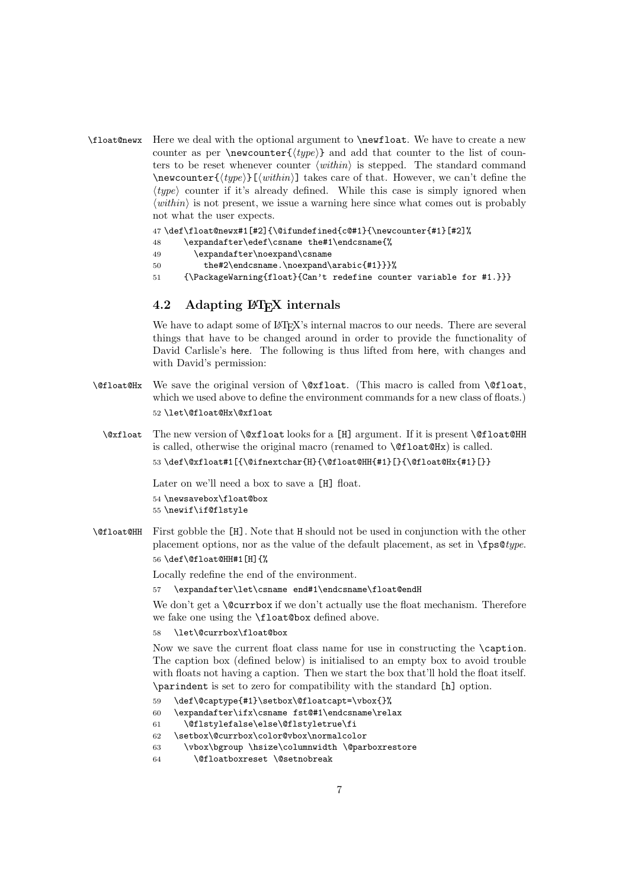\float@newx Here we deal with the optional argument to \newfloat. We have to create a new counter as per \newcounter{ $\langle type \rangle$ } and add that counter to the list of counters to be reset whenever counter  $\langle within \rangle$  is stepped. The standard command \newcounter{*type*}[*within*] takes care of that. However, we can't define the  $\langle type \rangle$  counter if it's already defined. While this case is simply ignored when  $\langle \textit{within} \rangle$  is not present, we issue a warning here since what comes out is probably not what the user expects.

47 \def\float@newx#1[#2]{\@ifundefined{c@#1}{\newcounter{#1}[#2]%

- 48 \expandafter\edef\csname the#1\endcsname{%
- 49 \expandafter\noexpand\csname
- 50 the#2\endcsname.\noexpand\arabic{#1}}}%
- 51 {\PackageWarning{float}{Can't redefine counter variable for #1.}}}

#### **4.2 Adapting LATEX internals**

We have to adapt some of LAT<sub>EX</sub>'s internal macros to our needs. There are several things that have to be changed around in order to provide the functionality of David Carlisle's here. The following is thus lifted from here, with changes and with David's permission:

- \@float@Hx We save the original version of \@xfloat. (This macro is called from \@float, which we used above to define the environment commands for a new class of floats.) 52 \let\@float@Hx\@xfloat
	- \@xfloat The new version of \@xfloat looks for a [H] argument. If it is present \@float@HH is called, otherwise the original macro (renamed to  $\text{Offloat@Hx}$ ) is called. 53 \def\@xfloat#1[{\@ifnextchar{H}{\@float@HH{#1}[}{\@float@Hx{#1}[}}

Later on we'll need a box to save a [H] float.

54 \newsavebox\float@box 55 \newif\if@flstyle

\@float@HH First gobble the [H]. Note that H should not be used in conjunction with the other placement options, nor as the value of the default placement, as set in \fps@*type*. 56 \def\@float@HH#1[H]{%

Locally redefine the end of the environment.

57 \expandafter\let\csname end#1\endcsname\float@endH

We don't get a **\@currbox** if we don't actually use the float mechanism. Therefore we fake one using the \float@box defined above.

58 \let\@currbox\float@box

Now we save the current float class name for use in constructing the **\caption**. The caption box (defined below) is initialised to an empty box to avoid trouble with floats not having a caption. Then we start the box that'll hold the float itself. \parindent is set to zero for compatibility with the standard [h] option.

59 \def\@captype{#1}\setbox\@floatcapt=\vbox{}%

```
60 \expandafter\ifx\csname fst@#1\endcsname\relax
```
- 61 \@flstylefalse\else\@flstyletrue\fi
- 62 \setbox\@currbox\color@vbox\normalcolor
- 63 \vbox\bgroup \hsize\columnwidth \@parboxrestore
- 64 \@floatboxreset \@setnobreak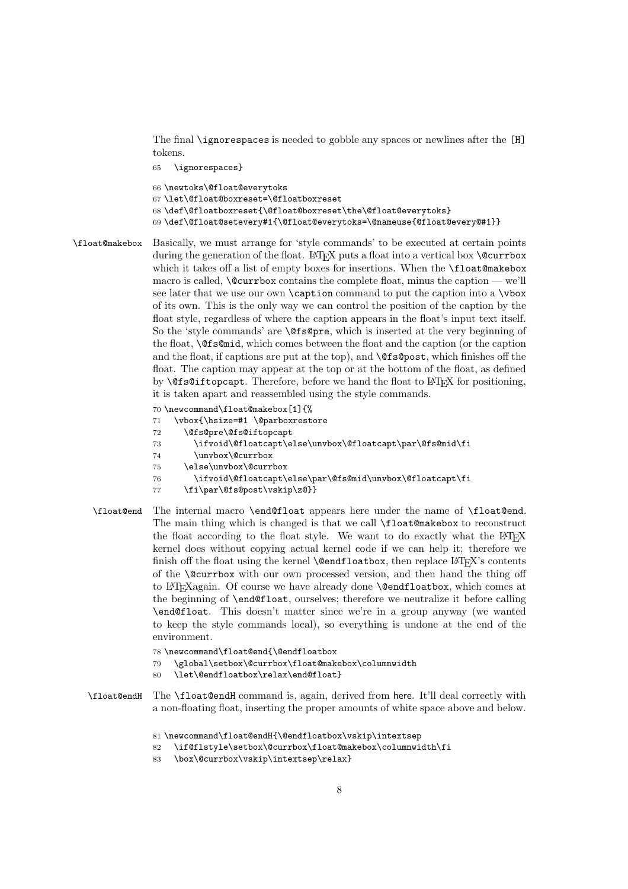The final \ignorespaces is needed to gobble any spaces or newlines after the [H] tokens.

```
65 \ignorespaces}
66 \newtoks\@float@everytoks
67 \let\@float@boxreset=\@floatboxreset
68 \def\@floatboxreset{\@float@boxreset\the\@float@everytoks}
69 \def\@float@setevery#1{\@float@everytoks=\@nameuse{@float@every@#1}}
```
\float@makebox Basically, we must arrange for 'style commands' to be executed at certain points during the generation of the float. LAT<sub>EX</sub> puts a float into a vertical box **\@currbox** which it takes off a list of empty boxes for insertions. When the **\float@makebox** macro is called,  $\&$  currbox contains the complete float, minus the caption — we'll see later that we use our own \caption command to put the caption into a \vbox of its own. This is the only way we can control the position of the caption by the float style, regardless of where the caption appears in the float's input text itself. So the 'style commands' are  $\text{Qfsgpre}$ , which is inserted at the very beginning of the float, \@fs@mid, which comes between the float and the caption (or the caption and the float, if captions are put at the top), and \@fs@post, which finishes off the float. The caption may appear at the top or at the bottom of the float, as defined by  $\Diamond$ fs@iftopcapt. Therefore, before we hand the float to LATEX for positioning, it is taken apart and reassembled using the style commands.

> \newcommand\float@makebox[1]{% \vbox{\hsize=#1 \@parboxrestore \@fs@pre\@fs@iftopcapt \ifvoid\@floatcapt\else\unvbox\@floatcapt\par\@fs@mid\fi \unvbox\@currbox \else\unvbox\@currbox \ifvoid\@floatcapt\else\par\@fs@mid\unvbox\@floatcapt\fi \fi\par\@fs@post\vskip\z@}}

- \float@end The internal macro \end@float appears here under the name of \float@end. The main thing which is changed is that we call \float@makebox to reconstruct the float according to the float style. We want to do exactly what the  $EFT<sub>F</sub>X$ kernel does without copying actual kernel code if we can help it; therefore we finish off the float using the kernel  $\@{endfloatbook}$ , then replace  $\&$ FFX's contents of the \@currbox with our own processed version, and then hand the thing off to LATEXagain. Of course we have already done \@endfloatbox, which comes at the beginning of \end@float, ourselves; therefore we neutralize it before calling \end@float. This doesn't matter since we're in a group anyway (we wanted to keep the style commands local), so everything is undone at the end of the environment.
	- 78 \newcommand\float@end{\@endfloatbox
	- 79 \global\setbox\@currbox\float@makebox\columnwidth
	- 80 \let\@endfloatbox\relax\end@float}
- \float@endH The \float@endH command is, again, derived from here. It'll deal correctly with a non-floating float, inserting the proper amounts of white space above and below.
	- 81 \newcommand\float@endH{\@endfloatbox\vskip\intextsep
	- 82 \if@flstyle\setbox\@currbox\float@makebox\columnwidth\fi
	- 83 \box\@currbox\vskip\intextsep\relax}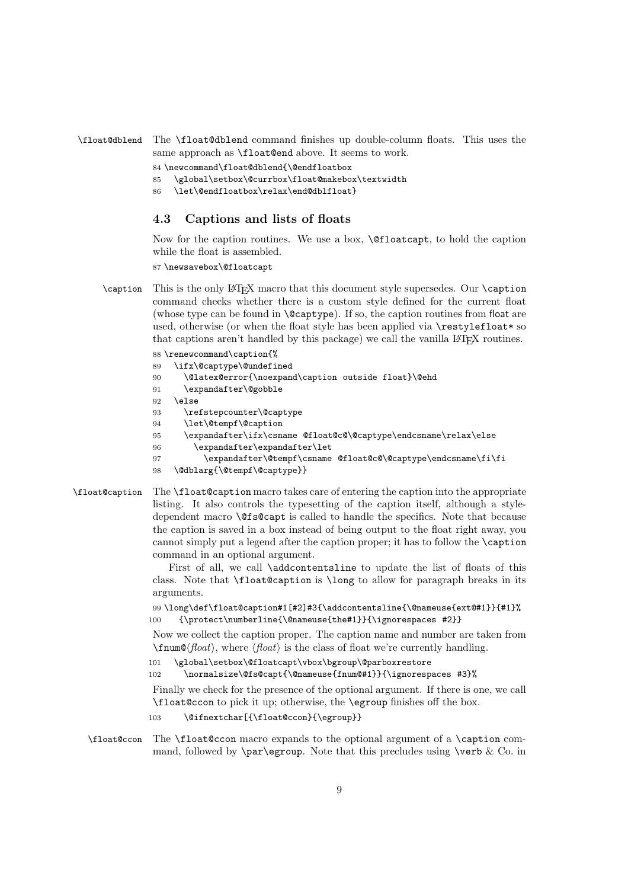\float@dblend The \float@dblend command finishes up double-column floats. This uses the same approach as \float@end above. It seems to work.

84 \newcommand\float@dblend{\@endfloatbox

85 \global\setbox\@currbox\float@makebox\textwidth

86 \let\@endfloatbox\relax\end@dblfloat}

#### **4.3 Captions and lists of floats**

Now for the caption routines. We use a box, \@floatcapt, to hold the caption while the float is assembled.

87 \newsavebox\@floatcapt

\caption This is the only LATEX macro that this document style supersedes. Our \caption command checks whether there is a custom style defined for the current float (whose type can be found in \@captype). If so, the caption routines from float are used, otherwise (or when the float style has been applied via \restylefloat\* so that captions aren't handled by this package) we call the vanilla LAT<sub>EX</sub> routines.

> \renewcommand\caption{% \ifx\@captype\@undefined \@latex@error{\noexpand\caption outside float}\@ehd 91 \expandafter\@gobble 92 \else \refstepcounter\@captype \let\@tempf\@caption \expandafter\ifx\csname @float@c@\@captype\endcsname\relax\else \expandafter\expandafter\let \expandafter\@tempf\csname @float@c@\@captype\endcsname\fi\fi \@dblarg{\@tempf\@captype}}

\float@caption The \float@caption macro takes care of entering the caption into the appropriate listing. It also controls the typesetting of the caption itself, although a styledependent macro \@fs@capt is called to handle the specifics. Note that because the caption is saved in a box instead of being output to the float right away, you cannot simply put a legend after the caption proper; it has to follow the \caption command in an optional argument.

> First of all, we call **\addcontentsline** to update the list of floats of this class. Note that \float@caption is \long to allow for paragraph breaks in its arguments.

99 \long\def\float@caption#1[#2]#3{\addcontentsline{\@nameuse{ext@#1}}{#1}% 100 {\protect\numberline{\@nameuse{the#1}}{\ignorespaces #2}}

Now we collect the caption proper. The caption name and number are taken from  $\{\text{float}\}$ , where  $\{\text{float}\}$  is the class of float we're currently handling.<br>101 \global\setbox\@floatcapt\vbox\bgroup\@parboxrestore

\global\setbox\@floatcapt\vbox\bgroup\@parboxrestore

```
102 \normalsize\@fs@capt{\@nameuse{fnum@#1}}{\ignorespaces #3}%
```
Finally we check for the presence of the optional argument. If there is one, we call \float@ccon to pick it up; otherwise, the \egroup finishes off the box.

103 \@ifnextchar[{\float@ccon}{\egroup}}

\float@ccon The \float@ccon macro expands to the optional argument of a \caption command, followed by  $\parbox{1.0pt}{\text{per}}$  Note that this precludes using  $\verb|verb & Co. in$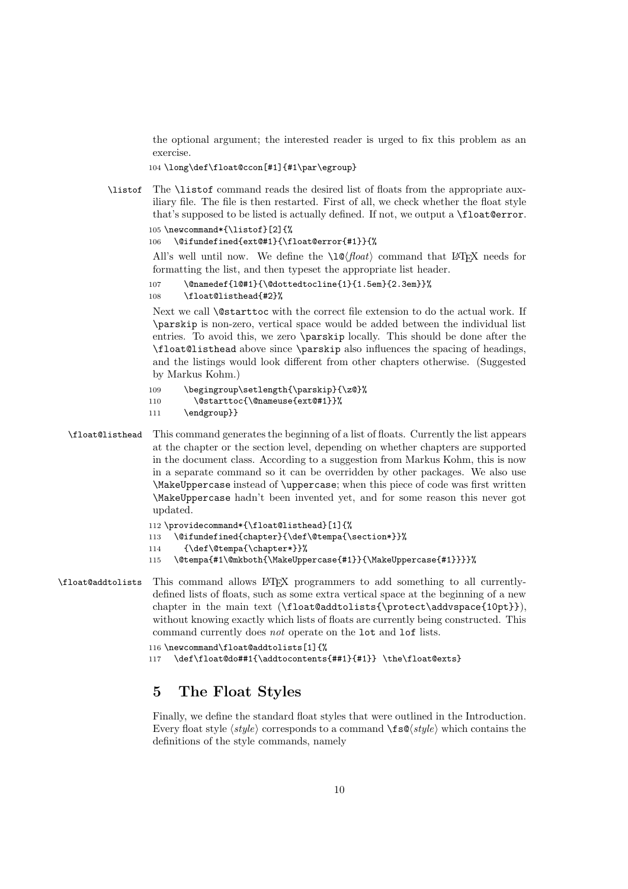the optional argument; the interested reader is urged to fix this problem as an exercise.

104 \long\def\float@ccon[#1]{#1\par\egroup}

\listof The \listof command reads the desired list of floats from the appropriate auxiliary file. The file is then restarted. First of all, we check whether the float style that's supposed to be listed is actually defined. If not, we output a \float@error. 105 \newcommand\*{\listof}[2]{%

106 \@ifundefined{ext@#1}{\float@error{#1}}{%

All's well until now. We define the  $\lvert \log \rvert$  command that LAT<sub>EX</sub> needs for formatting the list, and then typeset the appropriate list header.

```
107 \@namedef{l@#1}{\@dottedtocline{1}{1.5em}{2.3em}}%
108 \float@listhead{#2}%
```
Next we call **\@starttoc** with the correct file extension to do the actual work. If \parskip is non-zero, vertical space would be added between the individual list entries. To avoid this, we zero \parskip locally. This should be done after the \float@listhead above since \parskip also influences the spacing of headings, and the listings would look different from other chapters otherwise. (Suggested by Markus Kohm.)

```
109 \begingroup\setlength{\parskip}{\z@}%
```

```
110 \@starttoc{\@nameuse{ext@#1}}%
```

```
111 \endgroup}}
```
\float@listhead This command generates the beginning of a list of floats. Currently the list appears at the chapter or the section level, depending on whether chapters are supported in the document class. According to a suggestion from Markus Kohm, this is now in a separate command so it can be overridden by other packages. We also use \MakeUppercase instead of \uppercase; when this piece of code was first written \MakeUppercase hadn't been invented yet, and for some reason this never got updated.

```
112 \providecommand*{\float@listhead}[1]{%
```
- 113 \@ifundefined{chapter}{\def\@tempa{\section\*}}%
- 114 {\def\@tempa{\chapter\*}}%
- 115 \@tempa{#1\@mkboth{\MakeUppercase{#1}}{\MakeUppercase{#1}}}}%
- \float@addtolists This command allows LATEX programmers to add something to all currentlydefined lists of floats, such as some extra vertical space at the beginning of a new chapter in the main text (\float@addtolists{\protect\addvspace{10pt}}), without knowing exactly which lists of floats are currently being constructed. This command currently does *not* operate on the lot and lof lists.

```
116 \newcommand\float@addtolists[1]{%
```
117 \def\float@do##1{\addtocontents{##1}{#1}} \the\float@exts}

## **5 The Float Styles**

Finally, we define the standard float styles that were outlined in the Introduction. Every float style  $\langle style\rangle$  corresponds to a command  $\frac{\frac{\text{sg}(style\rangle}{\text{w}}}{\text{g}(style)}$  which contains the definitions of the style commands, namely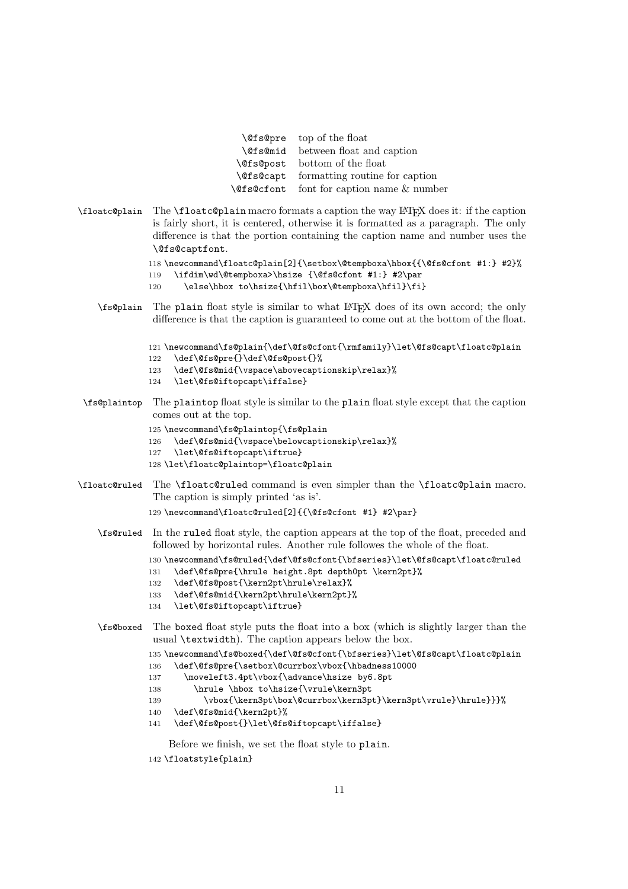|                  | <b>\@fs@pre</b> top of the float                 |
|------------------|--------------------------------------------------|
|                  | <b>\@fs@mid</b> between float and caption        |
| <b>\@fs@post</b> | bottom of the float                              |
|                  | <b>\@fs@capt</b> formatting routine for caption  |
|                  | <b>\@fs@cfont</b> font for caption name & number |

\floatc@plain The \floatc@plain macro formats a caption the way LATEX does it: if the caption is fairly short, it is centered, otherwise it is formatted as a paragraph. The only difference is that the portion containing the caption name and number uses the \@fs@captfont.

```
118 \newcommand\floatc@plain[2]{\setbox\@tempboxa\hbox{{\@fs@cfont #1:} #2}%
119 \ifdim\wd\@tempboxa>\hsize {\@fs@cfont #1:} #2\par
120 \else\hbox to\hsize{\hfil\box\@tempboxa\hfil}\fi}
```
\fs@plain The plain float style is similar to what LATEX does of its own accord; the only difference is that the caption is guaranteed to come out at the bottom of the float.

```
121 \newcommand\fs@plain{\def\@fs@cfont{\rmfamily}\let\@fs@capt\floatc@plain
```
- 122 \def\@fs@pre{}\def\@fs@post{}%
- 123 \def\@fs@mid{\vspace\abovecaptionskip\relax}%
- 124 \let\@fs@iftopcapt\iffalse}
- \fs@plaintop The plaintop float style is similar to the plain float style except that the caption comes out at the top.
	- 125 \newcommand\fs@plaintop{\fs@plain
	- 126 \def\@fs@mid{\vspace\belowcaptionskip\relax}%
	- 127 \let\@fs@iftopcapt\iftrue}
	- 128 \let\floatc@plaintop=\floatc@plain
- \floatc@ruled The \floatc@ruled command is even simpler than the \floatc@plain macro. The caption is simply printed 'as is'.

```
129 \newcommand\floatc@ruled[2]{{\@fs@cfont #1} #2\par}
```
\fs@ruled In the ruled float style, the caption appears at the top of the float, preceded and followed by horizontal rules. Another rule followes the whole of the float.

130 \newcommand\fs@ruled{\def\@fs@cfont{\bfseries}\let\@fs@capt\floatc@ruled

- 131 \def\@fs@pre{\hrule height.8pt depth0pt \kern2pt}%
- 132 \def\@fs@post{\kern2pt\hrule\relax}%
- 133 \def\@fs@mid{\kern2pt\hrule\kern2pt}%
- 134 \let\@fs@iftopcapt\iftrue}
- \fs@boxed The boxed float style puts the float into a box (which is slightly larger than the usual \textwidth). The caption appears below the box.

```
135 \newcommand\fs@boxed{\def\@fs@cfont{\bfseries}\let\@fs@capt\floatc@plain
```
- 136 \def\@fs@pre{\setbox\@currbox\vbox{\hbadness10000
- 137 \moveleft3.4pt\vbox{\advance\hsize by6.8pt
- 138 \hrule \hbox to\hsize{\vrule\kern3pt
- 139 \vbox{\kern3pt\box\@currbox\kern3pt}\kern3pt\vrule}\hrule}}}%
- 140 \def\@fs@mid{\kern2pt}%
- 141 \def\@fs@post{}\let\@fs@iftopcapt\iffalse}

Before we finish, we set the float style to plain.

142 \floatstyle{plain}